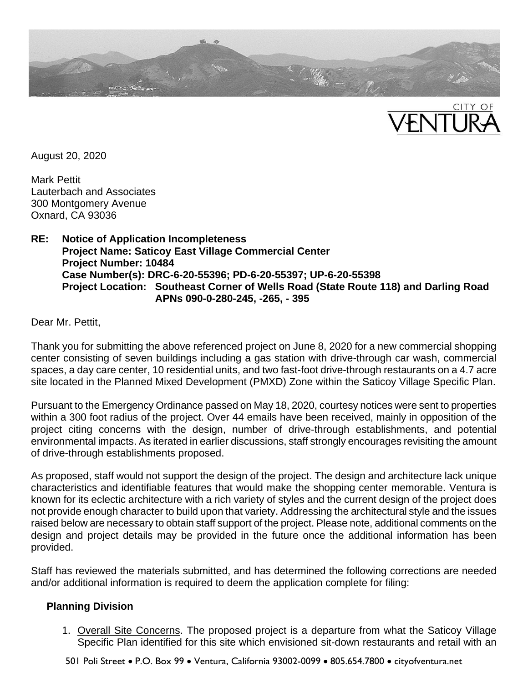



August 20, 2020

Mark Pettit Lauterbach and Associates 300 Montgomery Avenue Oxnard, CA 93036

### **RE: Notice of Application Incompleteness Project Name: Saticoy East Village Commercial Center Project Number: 10484 Case Number(s): DRC-6-20-55396; PD-6-20-55397; UP-6-20-55398 Project Location: Southeast Corner of Wells Road (State Route 118) and Darling Road APNs 090-0-280-245, -265, - 395**

Dear Mr. Pettit,

Thank you for submitting the above referenced project on June 8, 2020 for a new commercial shopping center consisting of seven buildings including a gas station with drive-through car wash, commercial spaces, a day care center, 10 residential units, and two fast-foot drive-through restaurants on a 4.7 acre site located in the Planned Mixed Development (PMXD) Zone within the Saticoy Village Specific Plan.

Pursuant to the Emergency Ordinance passed on May 18, 2020, courtesy notices were sent to properties within a 300 foot radius of the project. Over 44 emails have been received, mainly in opposition of the project citing concerns with the design, number of drive-through establishments, and potential environmental impacts. As iterated in earlier discussions, staff strongly encourages revisiting the amount of drive-through establishments proposed.

As proposed, staff would not support the design of the project. The design and architecture lack unique characteristics and identifiable features that would make the shopping center memorable. Ventura is known for its eclectic architecture with a rich variety of styles and the current design of the project does not provide enough character to build upon that variety. Addressing the architectural style and the issues raised below are necessary to obtain staff support of the project. Please note, additional comments on the design and project details may be provided in the future once the additional information has been provided.

Staff has reviewed the materials submitted, and has determined the following corrections are needed and/or additional information is required to deem the application complete for filing:

## **Planning Division**

- 1. Overall Site Concerns. The proposed project is a departure from what the Saticoy Village Specific Plan identified for this site which envisioned sit-down restaurants and retail with an
- 501 Poli Street P.O. Box 99 Ventura, California 93002-0099 805.654.7800 cityofventura.net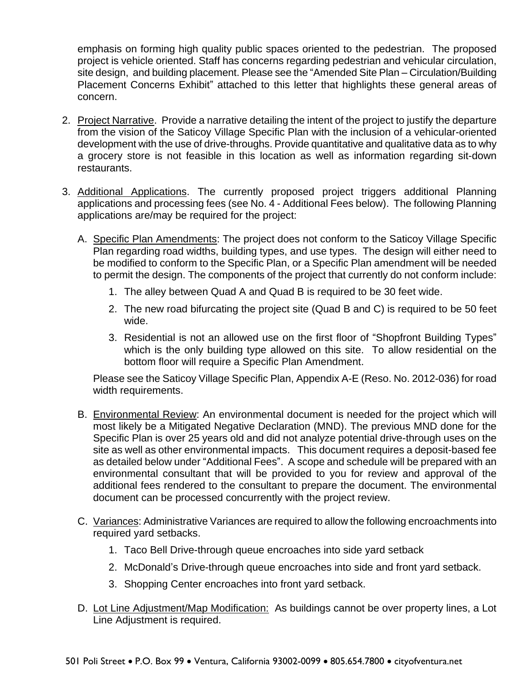emphasis on forming high quality public spaces oriented to the pedestrian. The proposed project is vehicle oriented. Staff has concerns regarding pedestrian and vehicular circulation, site design, and building placement. Please see the "Amended Site Plan – Circulation/Building Placement Concerns Exhibit" attached to this letter that highlights these general areas of concern.

- 2. Project Narrative. Provide a narrative detailing the intent of the project to justify the departure from the vision of the Saticoy Village Specific Plan with the inclusion of a vehicular-oriented development with the use of drive-throughs. Provide quantitative and qualitative data as to why a grocery store is not feasible in this location as well as information regarding sit-down restaurants.
- 3. Additional Applications. The currently proposed project triggers additional Planning applications and processing fees (see No. 4 - Additional Fees below). The following Planning applications are/may be required for the project:
	- A. Specific Plan Amendments: The project does not conform to the Saticoy Village Specific Plan regarding road widths, building types, and use types. The design will either need to be modified to conform to the Specific Plan, or a Specific Plan amendment will be needed to permit the design. The components of the project that currently do not conform include:
		- 1. The alley between Quad A and Quad B is required to be 30 feet wide.
		- 2. The new road bifurcating the project site (Quad B and C) is required to be 50 feet wide.
		- 3. Residential is not an allowed use on the first floor of "Shopfront Building Types" which is the only building type allowed on this site. To allow residential on the bottom floor will require a Specific Plan Amendment.

Please see the Saticoy Village Specific Plan, Appendix A-E (Reso. No. 2012-036) for road width requirements.

- B. Environmental Review: An environmental document is needed for the project which will most likely be a Mitigated Negative Declaration (MND). The previous MND done for the Specific Plan is over 25 years old and did not analyze potential drive-through uses on the site as well as other environmental impacts. This document requires a deposit-based fee as detailed below under "Additional Fees". A scope and schedule will be prepared with an environmental consultant that will be provided to you for review and approval of the additional fees rendered to the consultant to prepare the document. The environmental document can be processed concurrently with the project review.
- C. Variances: Administrative Variances are required to allow the following encroachments into required yard setbacks.
	- 1. Taco Bell Drive-through queue encroaches into side yard setback
	- 2. McDonald's Drive-through queue encroaches into side and front yard setback.
	- 3. Shopping Center encroaches into front yard setback.
- D. Lot Line Adjustment/Map Modification: As buildings cannot be over property lines, a Lot Line Adjustment is required.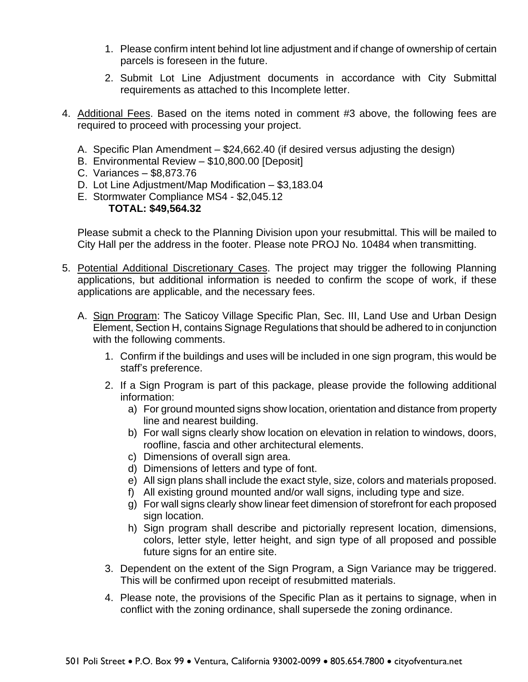- 1. Please confirm intent behind lot line adjustment and if change of ownership of certain parcels is foreseen in the future.
- 2. Submit Lot Line Adjustment documents in accordance with City Submittal requirements as attached to this Incomplete letter.
- 4. Additional Fees. Based on the items noted in comment #3 above, the following fees are required to proceed with processing your project.
	- A. Specific Plan Amendment \$24,662.40 (if desired versus adjusting the design)
	- B. Environmental Review \$10,800.00 [Deposit]
	- C. Variances \$8,873.76
	- D. Lot Line Adjustment/Map Modification \$3,183.04
	- E. Stormwater Compliance MS4 \$2,045.12 **TOTAL: \$49,564.32**

Please submit a check to the Planning Division upon your resubmittal. This will be mailed to City Hall per the address in the footer. Please note PROJ No. 10484 when transmitting.

- 5. Potential Additional Discretionary Cases. The project may trigger the following Planning applications, but additional information is needed to confirm the scope of work, if these applications are applicable, and the necessary fees.
	- A. Sign Program: The Saticoy Village Specific Plan, Sec. III, Land Use and Urban Design Element, Section H, contains Signage Regulations that should be adhered to in conjunction with the following comments.
		- 1. Confirm if the buildings and uses will be included in one sign program, this would be staff's preference.
		- 2. If a Sign Program is part of this package, please provide the following additional information:
			- a) For ground mounted signs show location, orientation and distance from property line and nearest building.
			- b) For wall signs clearly show location on elevation in relation to windows, doors, roofline, fascia and other architectural elements.
			- c) Dimensions of overall sign area.
			- d) Dimensions of letters and type of font.
			- e) All sign plans shall include the exact style, size, colors and materials proposed.
			- f) All existing ground mounted and/or wall signs, including type and size.
			- g) For wall signs clearly show linear feet dimension of storefront for each proposed sign location.
			- h) Sign program shall describe and pictorially represent location, dimensions, colors, letter style, letter height, and sign type of all proposed and possible future signs for an entire site.
		- 3. Dependent on the extent of the Sign Program, a Sign Variance may be triggered. This will be confirmed upon receipt of resubmitted materials.
		- 4. Please note, the provisions of the Specific Plan as it pertains to signage, when in conflict with the zoning ordinance, shall supersede the zoning ordinance.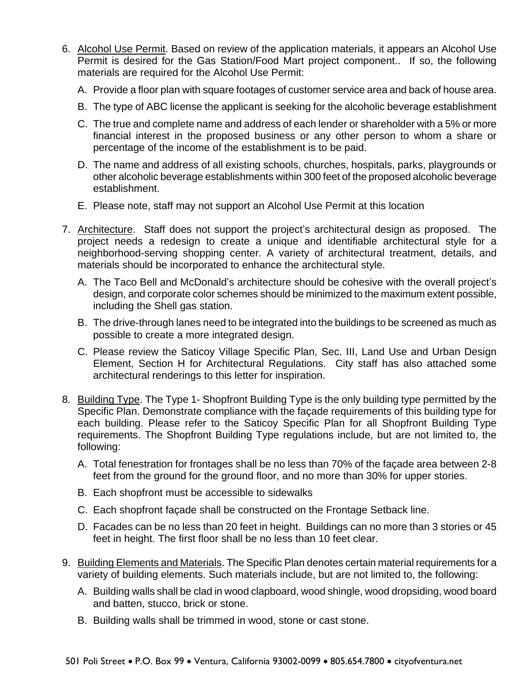- 6. Alcohol Use Permit. Based on review of the application materials, it appears an Alcohol Use Permit is desired for the Gas Station/Food Mart project component.. If so, the following materials are required for the Alcohol Use Permit:
	- A. Provide a floor plan with square footages of customer service area and back of house area.
	- B. The type of ABC license the applicant is seeking for the alcoholic beverage establishment
	- C. The true and complete name and address of each lender or shareholder with a 5% or more financial interest in the proposed business or any other person to whom a share or percentage of the income of the establishment is to be paid.
	- D. The name and address of all existing schools, churches, hospitals, parks, playgrounds or other alcoholic beverage establishments within 300 feet of the proposed alcoholic beverage establishment.
	- E. Please note, staff may not support an Alcohol Use Permit at this location
- 7. Architecture. Staff does not support the project's architectural design as proposed. The project needs a redesign to create a unique and identifiable architectural style for a neighborhood-serving shopping center. A variety of architectural treatment, details, and materials should be incorporated to enhance the architectural style.
	- A. The Taco Bell and McDonald's architecture should be cohesive with the overall project's design, and corporate color schemes should be minimized to the maximum extent possible, including the Shell gas station.
	- B. The drive-through lanes need to be integrated into the buildings to be screened as much as possible to create a more integrated design.
	- C. Please review the Saticoy Village Specific Plan, Sec. III, Land Use and Urban Design Element, Section H for Architectural Regulations. City staff has also attached some architectural renderings to this letter for inspiration.
- 8. Building Type. The Type 1- Shopfront Building Type is the only building type permitted by the Specific Plan. Demonstrate compliance with the façade requirements of this building type for each building. Please refer to the Saticoy Specific Plan for all Shopfront Building Type requirements. The Shopfront Building Type regulations include, but are not limited to, the following:
	- A. Total fenestration for frontages shall be no less than 70% of the façade area between 2-8 feet from the ground for the ground floor, and no more than 30% for upper stories.
	- B. Each shopfront must be accessible to sidewalks
	- C. Each shopfront façade shall be constructed on the Frontage Setback line.
	- D. Facades can be no less than 20 feet in height. Buildings can no more than 3 stories or 45 feet in height. The first floor shall be no less than 10 feet clear.
- 9. Building Elements and Materials. The Specific Plan denotes certain material requirements for a variety of building elements. Such materials include, but are not limited to, the following:
	- A. Building walls shall be clad in wood clapboard, wood shingle, wood dropsiding, wood board and batten, stucco, brick or stone.
	- B. Building walls shall be trimmed in wood, stone or cast stone.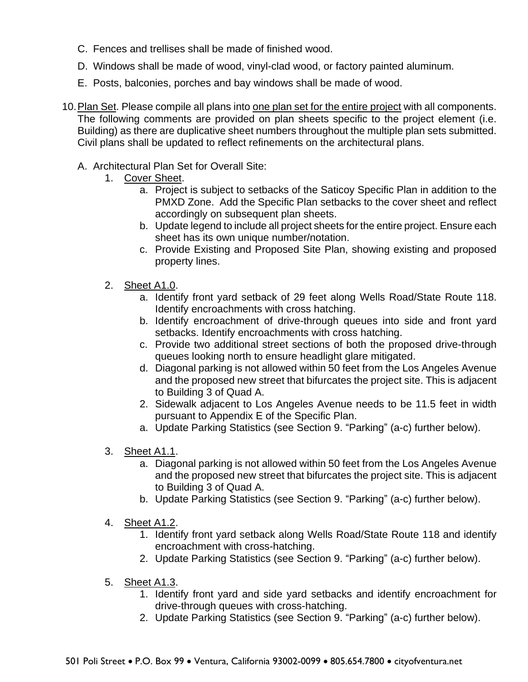- C. Fences and trellises shall be made of finished wood.
- D. Windows shall be made of wood, vinyl-clad wood, or factory painted aluminum.
- E. Posts, balconies, porches and bay windows shall be made of wood.
- 10.Plan Set. Please compile all plans into one plan set for the entire project with all components. The following comments are provided on plan sheets specific to the project element (i.e. Building) as there are duplicative sheet numbers throughout the multiple plan sets submitted. Civil plans shall be updated to reflect refinements on the architectural plans.
	- A. Architectural Plan Set for Overall Site:
		- 1. Cover Sheet.
			- a. Project is subject to setbacks of the Saticoy Specific Plan in addition to the PMXD Zone. Add the Specific Plan setbacks to the cover sheet and reflect accordingly on subsequent plan sheets.
			- b. Update legend to include all project sheets for the entire project. Ensure each sheet has its own unique number/notation.
			- c. Provide Existing and Proposed Site Plan, showing existing and proposed property lines.
		- 2. Sheet A1.0.
			- a. Identify front yard setback of 29 feet along Wells Road/State Route 118. Identify encroachments with cross hatching.
			- b. Identify encroachment of drive-through queues into side and front yard setbacks. Identify encroachments with cross hatching.
			- c. Provide two additional street sections of both the proposed drive-through queues looking north to ensure headlight glare mitigated.
			- d. Diagonal parking is not allowed within 50 feet from the Los Angeles Avenue and the proposed new street that bifurcates the project site. This is adjacent to Building 3 of Quad A.
			- 2. Sidewalk adjacent to Los Angeles Avenue needs to be 11.5 feet in width pursuant to Appendix E of the Specific Plan.
			- a. Update Parking Statistics (see Section 9. "Parking" (a-c) further below).
		- 3. Sheet A1.1.
			- a. Diagonal parking is not allowed within 50 feet from the Los Angeles Avenue and the proposed new street that bifurcates the project site. This is adjacent to Building 3 of Quad A.
			- b. Update Parking Statistics (see Section 9. "Parking" (a-c) further below).
		- 4. Sheet A1.2.
			- 1. Identify front yard setback along Wells Road/State Route 118 and identify encroachment with cross-hatching.
			- 2. Update Parking Statistics (see Section 9. "Parking" (a-c) further below).
		- 5. Sheet A1.3.
			- 1. Identify front yard and side yard setbacks and identify encroachment for drive-through queues with cross-hatching.
			- 2. Update Parking Statistics (see Section 9. "Parking" (a-c) further below).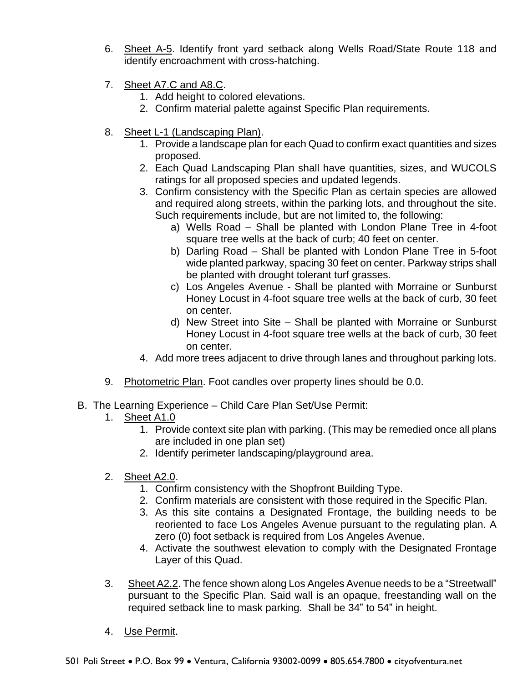- 6. Sheet A-5. Identify front yard setback along Wells Road/State Route 118 and identify encroachment with cross-hatching.
- 7. Sheet A7.C and A8.C.
	- 1. Add height to colored elevations.
	- 2. Confirm material palette against Specific Plan requirements.
- 8. Sheet L-1 (Landscaping Plan).
	- 1. Provide a landscape plan for each Quad to confirm exact quantities and sizes proposed.
	- 2. Each Quad Landscaping Plan shall have quantities, sizes, and WUCOLS ratings for all proposed species and updated legends.
	- 3. Confirm consistency with the Specific Plan as certain species are allowed and required along streets, within the parking lots, and throughout the site. Such requirements include, but are not limited to, the following:
		- a) Wells Road Shall be planted with London Plane Tree in 4-foot square tree wells at the back of curb; 40 feet on center.
		- b) Darling Road Shall be planted with London Plane Tree in 5-foot wide planted parkway, spacing 30 feet on center. Parkway strips shall be planted with drought tolerant turf grasses.
		- c) Los Angeles Avenue Shall be planted with Morraine or Sunburst Honey Locust in 4-foot square tree wells at the back of curb, 30 feet on center.
		- d) New Street into Site Shall be planted with Morraine or Sunburst Honey Locust in 4-foot square tree wells at the back of curb, 30 feet on center.
	- 4. Add more trees adjacent to drive through lanes and throughout parking lots.
- 9. Photometric Plan. Foot candles over property lines should be 0.0.
- B. The Learning Experience Child Care Plan Set/Use Permit:
	- 1. Sheet A1.0
		- 1. Provide context site plan with parking. (This may be remedied once all plans are included in one plan set)
		- 2. Identify perimeter landscaping/playground area.
	- 2. Sheet A2.0.
		- 1. Confirm consistency with the Shopfront Building Type.
		- 2. Confirm materials are consistent with those required in the Specific Plan.
		- 3. As this site contains a Designated Frontage, the building needs to be reoriented to face Los Angeles Avenue pursuant to the regulating plan. A zero (0) foot setback is required from Los Angeles Avenue.
		- 4. Activate the southwest elevation to comply with the Designated Frontage Layer of this Quad.
	- 3. Sheet A2.2. The fence shown along Los Angeles Avenue needs to be a "Streetwall" pursuant to the Specific Plan. Said wall is an opaque, freestanding wall on the required setback line to mask parking. Shall be 34" to 54" in height.
	- 4. Use Permit.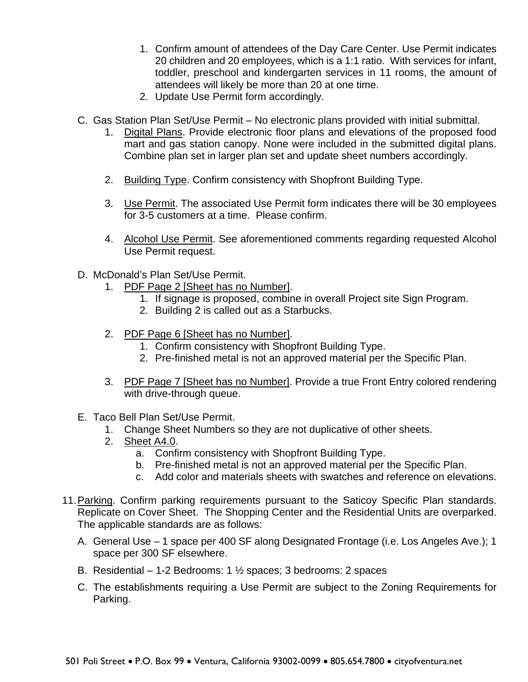- 1. Confirm amount of attendees of the Day Care Center. Use Permit indicates 20 children and 20 employees, which is a 1:1 ratio. With services for infant, toddler, preschool and kindergarten services in 11 rooms, the amount of attendees will likely be more than 20 at one time.
- 2. Update Use Permit form accordingly.
- C. Gas Station Plan Set/Use Permit No electronic plans provided with initial submittal.
	- 1. Digital Plans. Provide electronic floor plans and elevations of the proposed food mart and gas station canopy. None were included in the submitted digital plans. Combine plan set in larger plan set and update sheet numbers accordingly.
	- 2. Building Type. Confirm consistency with Shopfront Building Type.
	- 3. Use Permit. The associated Use Permit form indicates there will be 30 employees for 3-5 customers at a time. Please confirm.
	- 4. Alcohol Use Permit. See aforementioned comments regarding requested Alcohol Use Permit request.
- D. McDonald's Plan Set/Use Permit.
	- 1. PDF Page 2 [Sheet has no Number].
		- 1. If signage is proposed, combine in overall Project site Sign Program.
		- 2. Building 2 is called out as a Starbucks.
	- 2. PDF Page 6 [Sheet has no Number].
		- 1. Confirm consistency with Shopfront Building Type.
		- 2. Pre-finished metal is not an approved material per the Specific Plan.
	- 3. PDF Page 7 [Sheet has no Number]. Provide a true Front Entry colored rendering with drive-through queue.
- E. Taco Bell Plan Set/Use Permit.
	- 1. Change Sheet Numbers so they are not duplicative of other sheets.
	- 2. Sheet A4.0.
		- a. Confirm consistency with Shopfront Building Type.
		- b. Pre-finished metal is not an approved material per the Specific Plan.
		- c. Add color and materials sheets with swatches and reference on elevations.
- 11. Parking. Confirm parking requirements pursuant to the Saticoy Specific Plan standards. Replicate on Cover Sheet. The Shopping Center and the Residential Units are overparked. The applicable standards are as follows:
	- A. General Use 1 space per 400 SF along Designated Frontage (i.e. Los Angeles Ave.); 1 space per 300 SF elsewhere.
	- B. Residential 1-2 Bedrooms: 1  $\frac{1}{2}$  spaces; 3 bedrooms: 2 spaces
	- C. The establishments requiring a Use Permit are subject to the Zoning Requirements for Parking.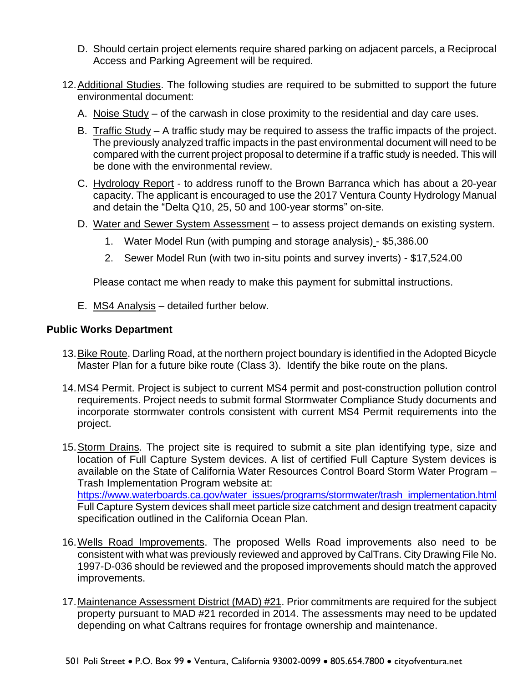- D. Should certain project elements require shared parking on adjacent parcels, a Reciprocal Access and Parking Agreement will be required.
- 12. Additional Studies. The following studies are required to be submitted to support the future environmental document:
	- A. Noise Study of the carwash in close proximity to the residential and day care uses.
	- B. Traffic Study A traffic study may be required to assess the traffic impacts of the project. The previously analyzed traffic impacts in the past environmental document will need to be compared with the current project proposal to determine if a traffic study is needed. This will be done with the environmental review.
	- C. Hydrology Report to address runoff to the Brown Barranca which has about a 20-year capacity. The applicant is encouraged to use the 2017 Ventura County Hydrology Manual and detain the "Delta Q10, 25, 50 and 100-year storms" on-site.
	- D. Water and Sewer System Assessment to assess project demands on existing system.
		- 1. Water Model Run (with pumping and storage analysis) \$5,386.00
		- 2. Sewer Model Run (with two in-situ points and survey inverts) \$17,524.00

Please contact me when ready to make this payment for submittal instructions.

E. MS4 Analysis – detailed further below.

## **Public Works Department**

- 13.Bike Route. Darling Road, at the northern project boundary is identified in the Adopted Bicycle Master Plan for a future bike route (Class 3). Identify the bike route on the plans.
- 14.MS4 Permit. Project is subject to current MS4 permit and post-construction pollution control requirements. Project needs to submit formal Stormwater Compliance Study documents and incorporate stormwater controls consistent with current MS4 Permit requirements into the project.
- 15.Storm Drains. The project site is required to submit a site plan identifying type, size and location of Full Capture System devices. A list of certified Full Capture System devices is available on the State of California Water Resources Control Board Storm Water Program – Trash Implementation Program website at: [https://www.waterboards.ca.gov/water\\_issues/programs/stormwater/trash\\_implementation.html](https://www.waterboards.ca.gov/water_issues/programs/stormwater/trash_implementation.html) Full Capture System devices shall meet particle size catchment and design treatment capacity specification outlined in the California Ocean Plan.
- 16.Wells Road Improvements. The proposed Wells Road improvements also need to be consistent with what was previously reviewed and approved by CalTrans. City Drawing File No. 1997-D-036 should be reviewed and the proposed improvements should match the approved improvements.
- 17.Maintenance Assessment District (MAD) #21. Prior commitments are required for the subject property pursuant to MAD #21 recorded in 2014. The assessments may need to be updated depending on what Caltrans requires for frontage ownership and maintenance.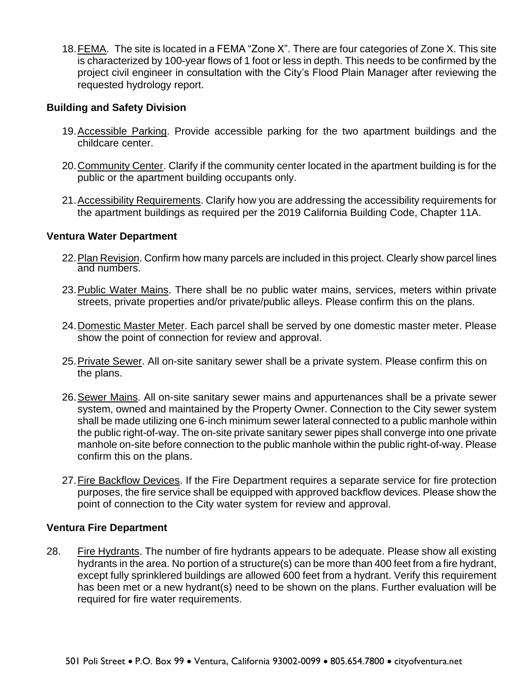18.FEMA. The site is located in a FEMA "Zone X". There are four categories of Zone X. This site is characterized by 100-year flows of 1 foot or less in depth. This needs to be confirmed by the project civil engineer in consultation with the City's Flood Plain Manager after reviewing the requested hydrology report.

### **Building and Safety Division**

- 19. Accessible Parking. Provide accessible parking for the two apartment buildings and the childcare center.
- 20.Community Center. Clarify if the community center located in the apartment building is for the public or the apartment building occupants only.
- 21.Accessibility Requirements. Clarify how you are addressing the accessibility requirements for the apartment buildings as required per the 2019 California Building Code, Chapter 11A.

### **Ventura Water Department**

- 22.Plan Revision. Confirm how many parcels are included in this project. Clearly show parcel lines and numbers.
- 23. Public Water Mains. There shall be no public water mains, services, meters within private streets, private properties and/or private/public alleys. Please confirm this on the plans.
- 24.Domestic Master Meter. Each parcel shall be served by one domestic master meter. Please show the point of connection for review and approval.
- 25.Private Sewer. All on-site sanitary sewer shall be a private system. Please confirm this on the plans.
- 26.Sewer Mains. All on-site sanitary sewer mains and appurtenances shall be a private sewer system, owned and maintained by the Property Owner. Connection to the City sewer system shall be made utilizing one 6-inch minimum sewer lateral connected to a public manhole within the public right-of-way. The on-site private sanitary sewer pipes shall converge into one private manhole on-site before connection to the public manhole within the public right-of-way. Please confirm this on the plans.
- 27.Fire Backflow Devices. If the Fire Department requires a separate service for fire protection purposes, the fire service shall be equipped with approved backflow devices. Please show the point of connection to the City water system for review and approval.

#### **Ventura Fire Department**

28. Fire Hydrants. The number of fire hydrants appears to be adequate. Please show all existing hydrants in the area. No portion of a structure(s) can be more than 400 feet from a fire hydrant, except fully sprinklered buildings are allowed 600 feet from a hydrant. Verify this requirement has been met or a new hydrant(s) need to be shown on the plans. Further evaluation will be required for fire water requirements.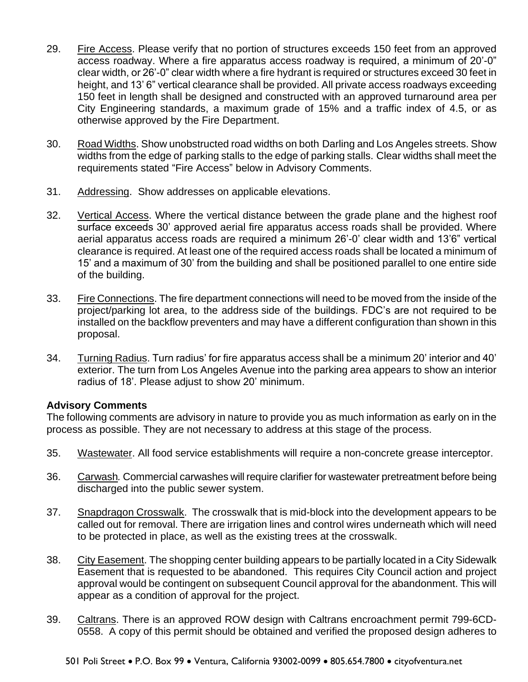- 29. Fire Access. Please verify that no portion of structures exceeds 150 feet from an approved access roadway. Where a fire apparatus access roadway is required, a minimum of 20'-0" clear width, or 26'-0" clear width where a fire hydrant is required or structures exceed 30 feet in height, and 13' 6" vertical clearance shall be provided. All private access roadways exceeding 150 feet in length shall be designed and constructed with an approved turnaround area per City Engineering standards, a maximum grade of 15% and a traffic index of 4.5, or as otherwise approved by the Fire Department.
- 30. Road Widths. Show unobstructed road widths on both Darling and Los Angeles streets. Show widths from the edge of parking stalls to the edge of parking stalls. Clear widths shall meet the requirements stated "Fire Access" below in Advisory Comments.
- 31. Addressing. Show addresses on applicable elevations.
- 32. Vertical Access. Where the vertical distance between the grade plane and the highest roof surface exceeds 30' approved aerial fire apparatus access roads shall be provided. Where aerial apparatus access roads are required a minimum 26'-0' clear width and 13'6" vertical clearance is required. At least one of the required access roads shall be located a minimum of 15' and a maximum of 30' from the building and shall be positioned parallel to one entire side of the building.
- 33. Fire Connections. The fire department connections will need to be moved from the inside of the project/parking lot area, to the address side of the buildings. FDC's are not required to be installed on the backflow preventers and may have a different configuration than shown in this proposal.
- 34. Turning Radius. Turn radius' for fire apparatus access shall be a minimum 20' interior and 40' exterior. The turn from Los Angeles Avenue into the parking area appears to show an interior radius of 18'. Please adjust to show 20' minimum.

# **Advisory Comments**

The following comments are advisory in nature to provide you as much information as early on in the process as possible. They are not necessary to address at this stage of the process.

- 35. Wastewater. All food service establishments will require a non-concrete grease interceptor.
- 36. Carwash*.* Commercial carwashes will require clarifier for wastewater pretreatment before being discharged into the public sewer system.
- 37. Snapdragon Crosswalk. The crosswalk that is mid-block into the development appears to be called out for removal. There are irrigation lines and control wires underneath which will need to be protected in place, as well as the existing trees at the crosswalk.
- 38. City Easement. The shopping center building appears to be partially located in a City Sidewalk Easement that is requested to be abandoned. This requires City Council action and project approval would be contingent on subsequent Council approval for the abandonment. This will appear as a condition of approval for the project.
- 39. Caltrans. There is an approved ROW design with Caltrans encroachment permit 799-6CD-0558. A copy of this permit should be obtained and verified the proposed design adheres to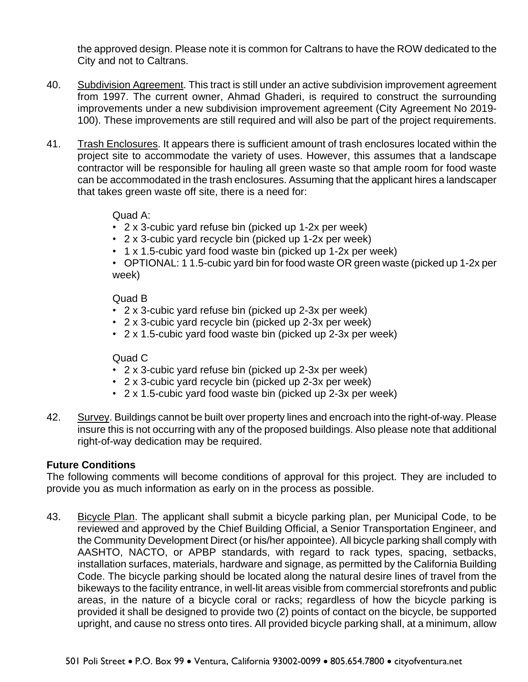the approved design. Please note it is common for Caltrans to have the ROW dedicated to the City and not to Caltrans.

- 40. Subdivision Agreement. This tract is still under an active subdivision improvement agreement from 1997. The current owner, Ahmad Ghaderi, is required to construct the surrounding improvements under a new subdivision improvement agreement (City Agreement No 2019- 100). These improvements are still required and will also be part of the project requirements.
- 41. Trash Enclosures. It appears there is sufficient amount of trash enclosures located within the project site to accommodate the variety of uses. However, this assumes that a landscape contractor will be responsible for hauling all green waste so that ample room for food waste can be accommodated in the trash enclosures. Assuming that the applicant hires a landscaper that takes green waste off site, there is a need for:

## Quad A:

- 2 x 3-cubic yard refuse bin (picked up 1-2x per week)
- 2 x 3-cubic yard recycle bin (picked up 1-2x per week)
- 1 x 1.5-cubic yard food waste bin (picked up 1-2x per week)

• OPTIONAL: 1 1.5-cubic yard bin for food waste OR green waste (picked up 1-2x per week)

## Quad B

- 2 x 3-cubic yard refuse bin (picked up 2-3x per week)
- 2 x 3-cubic yard recycle bin (picked up 2-3x per week)
- 2 x 1.5-cubic yard food waste bin (picked up 2-3x per week)

## Quad C

- 2 x 3-cubic yard refuse bin (picked up 2-3x per week)
- 2 x 3-cubic yard recycle bin (picked up 2-3x per week)
- 2 x 1.5-cubic yard food waste bin (picked up 2-3x per week)
- 42. Survey. Buildings cannot be built over property lines and encroach into the right-of-way. Please insure this is not occurring with any of the proposed buildings. Also please note that additional right-of-way dedication may be required.

# **Future Conditions**

The following comments will become conditions of approval for this project. They are included to provide you as much information as early on in the process as possible.

43. Bicycle Plan. The applicant shall submit a bicycle parking plan, per Municipal Code, to be reviewed and approved by the Chief Building Official, a Senior Transportation Engineer, and the Community Development Direct (or his/her appointee). All bicycle parking shall comply with AASHTO, NACTO, or APBP standards, with regard to rack types, spacing, setbacks, installation surfaces, materials, hardware and signage, as permitted by the California Building Code. The bicycle parking should be located along the natural desire lines of travel from the bikeways to the facility entrance, in well-lit areas visible from commercial storefronts and public areas, in the nature of a bicycle coral or racks; regardless of how the bicycle parking is provided it shall be designed to provide two (2) points of contact on the bicycle, be supported upright, and cause no stress onto tires. All provided bicycle parking shall, at a minimum, allow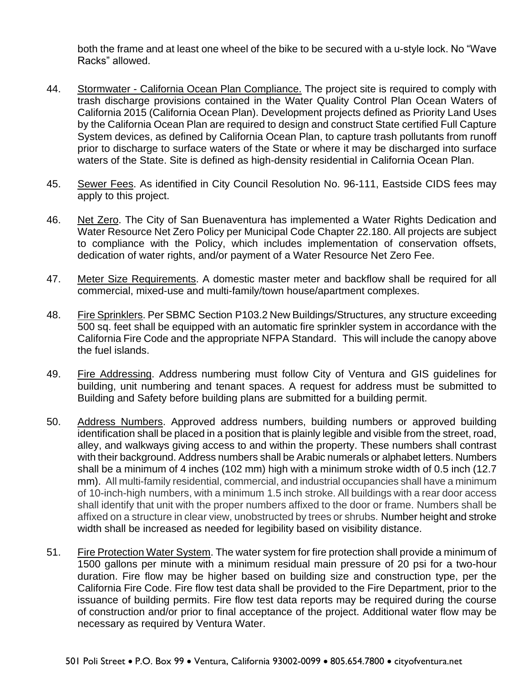both the frame and at least one wheel of the bike to be secured with a u-style lock. No "Wave Racks" allowed.

- 44. Stormwater California Ocean Plan Compliance. The project site is required to comply with trash discharge provisions contained in the Water Quality Control Plan Ocean Waters of California 2015 (California Ocean Plan). Development projects defined as Priority Land Uses by the California Ocean Plan are required to design and construct State certified Full Capture System devices, as defined by California Ocean Plan, to capture trash pollutants from runoff prior to discharge to surface waters of the State or where it may be discharged into surface waters of the State. Site is defined as high-density residential in California Ocean Plan.
- 45. Sewer Fees. As identified in City Council Resolution No. 96-111, Eastside CIDS fees may apply to this project.
- 46. Net Zero. The City of San Buenaventura has implemented a Water Rights Dedication and Water Resource Net Zero Policy per Municipal Code Chapter 22.180. All projects are subject to compliance with the Policy, which includes implementation of conservation offsets, dedication of water rights, and/or payment of a Water Resource Net Zero Fee.
- 47. Meter Size Requirements. A domestic master meter and backflow shall be required for all commercial, mixed-use and multi-family/town house/apartment complexes.
- 48. Fire Sprinklers. Per SBMC Section P103.2 New Buildings/Structures, any structure exceeding 500 sq. feet shall be equipped with an automatic fire sprinkler system in accordance with the California Fire Code and the appropriate NFPA Standard. This will include the canopy above the fuel islands.
- 49. Fire Addressing. Address numbering must follow City of Ventura and GIS guidelines for building, unit numbering and tenant spaces. A request for address must be submitted to Building and Safety before building plans are submitted for a building permit.
- 50. Address Numbers. Approved address numbers, building numbers or approved building identification shall be placed in a position that is plainly legible and visible from the street, road, alley, and walkways giving access to and within the property. These numbers shall contrast with their background. Address numbers shall be Arabic numerals or alphabet letters. Numbers shall be a minimum of 4 inches (102 mm) high with a minimum stroke width of 0.5 inch (12.7 mm). All multi-family residential, commercial, and industrial occupancies shall have a minimum of 10-inch-high numbers, with a minimum 1.5 inch stroke. All buildings with a rear door access shall identify that unit with the proper numbers affixed to the door or frame. Numbers shall be affixed on a structure in clear view, unobstructed by trees or shrubs. Number height and stroke width shall be increased as needed for legibility based on visibility distance.
- 51. Fire Protection Water System. The water system for fire protection shall provide a minimum of 1500 gallons per minute with a minimum residual main pressure of 20 psi for a two-hour duration. Fire flow may be higher based on building size and construction type, per the California Fire Code. Fire flow test data shall be provided to the Fire Department, prior to the issuance of building permits. Fire flow test data reports may be required during the course of construction and/or prior to final acceptance of the project. Additional water flow may be necessary as required by Ventura Water.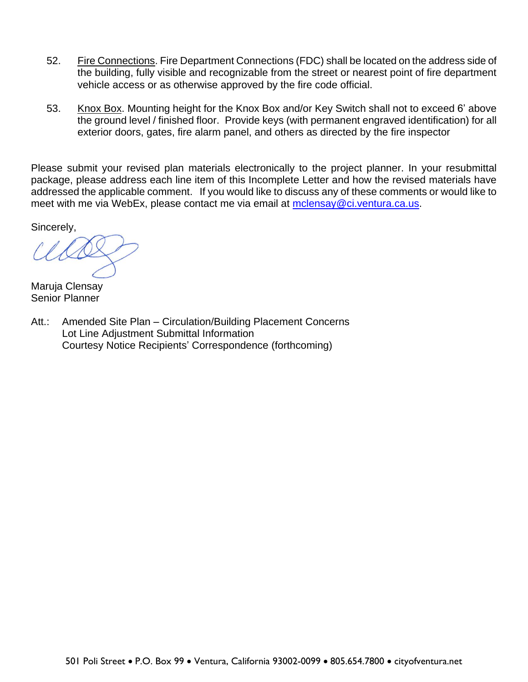- 52. Fire Connections. Fire Department Connections (FDC) shall be located on the address side of the building, fully visible and recognizable from the street or nearest point of fire department vehicle access or as otherwise approved by the fire code official.
- 53. Knox Box. Mounting height for the Knox Box and/or Key Switch shall not to exceed 6' above the ground level / finished floor. Provide keys (with permanent engraved identification) for all exterior doors, gates, fire alarm panel, and others as directed by the fire inspector

Please submit your revised plan materials electronically to the project planner. In your resubmittal package, please address each line item of this Incomplete Letter and how the revised materials have addressed the applicable comment. If you would like to discuss any of these comments or would like to meet with me via WebEx, please contact me via email at [mclensay@ci.ventura.ca.us.](mailto:mclensay@ci.ventura.ca.us)

Sincerely,

Maruja Clensay Senior Planner

Att.: Amended Site Plan – Circulation/Building Placement Concerns Lot Line Adjustment Submittal Information Courtesy Notice Recipients' Correspondence (forthcoming)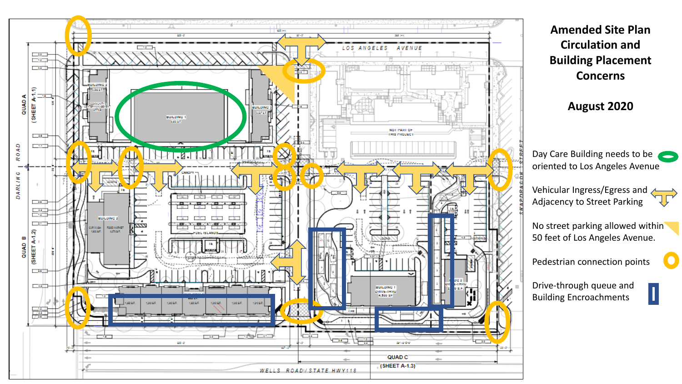

**Amended Site Plan Circulation and Building Placement Concerns**

**August 2020**

Day Care Building needs to be oriented to Los Angeles Avenue

Vehicular Ingress/Egress and Adjacency to Street Parking

No street parking allowed within 50 feet of Los Angeles Avenue.

Pedestrian connection points

Drive-through queue and Building Encroachments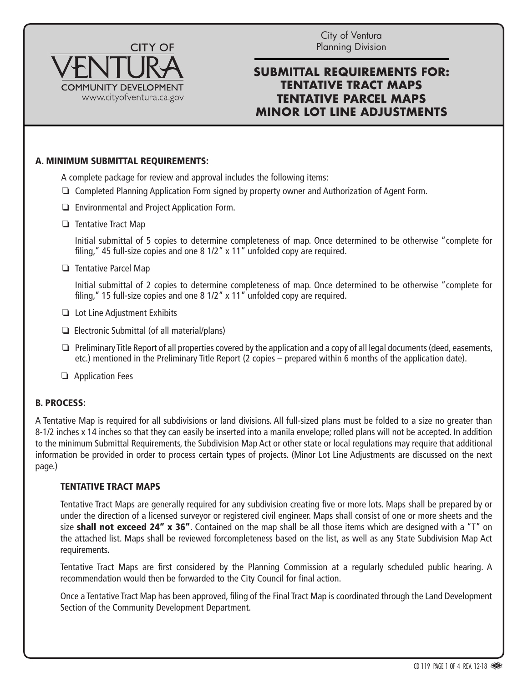

City of Ventura Planning Division

# **SUBMITTAL REQUIREMENTS FOR: TENTATIVE TRACT MAPS TENTATIVE PARCEL MAPS MINOR LOT LINE ADJUSTMENTS**

### A. MINIMUM SUBMITTAL REQUIREMENTS:

A complete package for review and approval includes the following items:

- $\Box$  Completed Planning Application Form signed by property owner and Authorization of Agent Form.
- $\Box$  Environmental and Project Application Form.
- $\Box$  Tentative Tract Map

 Initial submittal of 5 copies to determine completeness of map. Once determined to be otherwise "complete for filing," 45 full-size copies and one 8 1/2" x 11" unfolded copy are required.

 $\Box$  Tentative Parcel Map

 Initial submittal of 2 copies to determine completeness of map. Once determined to be otherwise "complete for filing," 15 full-size copies and one 8 1/2" x 11" unfolded copy are required.

- $\Box$  Lot Line Adjustment Exhibits
- $\Box$  Electronic Submittal (of all material/plans)
- $\Box$  Preliminary Title Report of all properties covered by the application and a copy of all legal documents (deed, easements, etc.) mentioned in the Preliminary Title Report (2 copies – prepared within 6 months of the application date).
- $\Box$  Application Fees

#### B. PROCESS:

A Tentative Map is required for all subdivisions or land divisions. All full-sized plans must be folded to a size no greater than 8-1/2 inches x 14 inches so that they can easily be inserted into a manila envelope; rolled plans will not be accepted. In addition to the minimum Submittal Requirements, the Subdivision Map Act or other state or local regulations may require that additional information be provided in order to process certain types of projects. (Minor Lot Line Adjustments are discussed on the next page.)

#### TENTATIVE TRACT MAPS

Tentative Tract Maps are generally required for any subdivision creating five or more lots. Maps shall be prepared by or under the direction of a licensed surveyor or registered civil engineer. Maps shall consist of one or more sheets and the size shall not exceed 24" x 36". Contained on the map shall be all those items which are designed with a "T" on the attached list. Maps shall be reviewed forcompleteness based on the list, as well as any State Subdivision Map Act requirements.

Tentative Tract Maps are first considered by the Planning Commission at a regularly scheduled public hearing. A recommendation would then be forwarded to the City Council for final action.

Once a Tentative Tract Map has been approved, filing of the Final Tract Map is coordinated through the Land Development Section of the Community Development Department.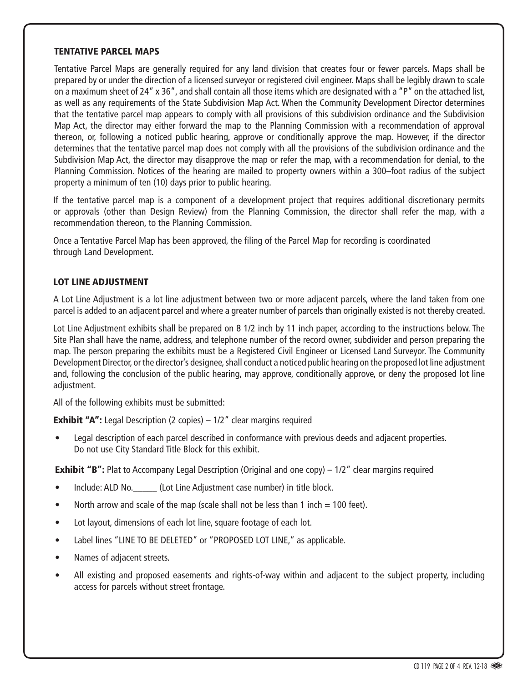#### TENTATIVE PARCEL MAPS

Tentative Parcel Maps are generally required for any land division that creates four or fewer parcels. Maps shall be prepared by or under the direction of a licensed surveyor or registered civil engineer. Maps shall be legibly drawn to scale on a maximum sheet of 24" x 36", and shall contain all those items which are designated with a "P" on the attached list, as well as any requirements of the State Subdivision Map Act. When the Community Development Director determines that the tentative parcel map appears to comply with all provisions of this subdivision ordinance and the Subdivision Map Act, the director may either forward the map to the Planning Commission with a recommendation of approval thereon, or, following a noticed public hearing, approve or conditionally approve the map. However, if the director determines that the tentative parcel map does not comply with all the provisions of the subdivision ordinance and the Subdivision Map Act, the director may disapprove the map or refer the map, with a recommendation for denial, to the Planning Commission. Notices of the hearing are mailed to property owners within a 300–foot radius of the subject property a minimum of ten (10) days prior to public hearing.

If the tentative parcel map is a component of a development project that requires additional discretionary permits or approvals (other than Design Review) from the Planning Commission, the director shall refer the map, with a recommendation thereon, to the Planning Commission.

Once a Tentative Parcel Map has been approved, the filing of the Parcel Map for recording is coordinated through Land Development.

#### LOT LINE ADJUSTMENT

A Lot Line Adjustment is a lot line adjustment between two or more adjacent parcels, where the land taken from one parcel is added to an adjacent parcel and where a greater number of parcels than originally existed is not thereby created.

Lot Line Adjustment exhibits shall be prepared on 8 1/2 inch by 11 inch paper, according to the instructions below. The Site Plan shall have the name, address, and telephone number of the record owner, subdivider and person preparing the map. The person preparing the exhibits must be a Registered Civil Engineer or Licensed Land Surveyor. The Community Development Director, or the director's designee, shall conduct a noticed public hearing on the proposed lot line adjustment and, following the conclusion of the public hearing, may approve, conditionally approve, or deny the proposed lot line adjustment.

All of the following exhibits must be submitted:

**Exhibit "A":** Legal Description (2 copies)  $-1/2$ " clear margins required

• Legal description of each parcel described in conformance with previous deeds and adjacent properties. Do not use City Standard Title Block for this exhibit.

**Exhibit "B":** Plat to Accompany Legal Description (Original and one copy)  $-1/2$ " clear margins required

- Include: ALD No. \_\_\_\_\_\_ (Lot Line Adjustment case number) in title block.
- North arrow and scale of the map (scale shall not be less than 1 inch  $= 100$  feet).
- Lot layout, dimensions of each lot line, square footage of each lot.
- Label lines "LINE TO BE DELETED" or "PROPOSED LOT LINE," as applicable.
- Names of adjacent streets.
- All existing and proposed easements and rights-of-way within and adjacent to the subject property, including access for parcels without street frontage.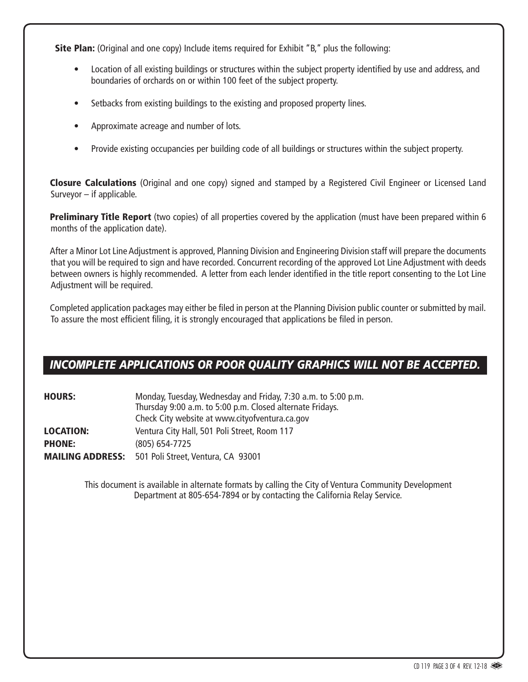**Site Plan:** (Original and one copy) Include items required for Exhibit "B," plus the following:

- Location of all existing buildings or structures within the subject property identified by use and address, and boundaries of orchards on or within 100 feet of the subject property.
- Setbacks from existing buildings to the existing and proposed property lines.
- Approximate acreage and number of lots.
- Provide existing occupancies per building code of all buildings or structures within the subject property.

Closure Calculations (Original and one copy) signed and stamped by a Registered Civil Engineer or Licensed Land Surveyor – if applicable.

Preliminary Title Report (two copies) of all properties covered by the application (must have been prepared within 6 months of the application date).

After a Minor Lot Line Adjustment is approved, Planning Division and Engineering Division staff will prepare the documents that you will be required to sign and have recorded. Concurrent recording of the approved Lot Line Adjustment with deeds between owners is highly recommended. A letter from each lender identified in the title report consenting to the Lot Line Adjustment will be required.

Completed application packages may either be filed in person at the Planning Division public counter or submitted by mail. To assure the most efficient filing, it is strongly encouraged that applications be filed in person.

# *INCOMPLETE APPLICATIONS OR POOR QUALITY GRAPHICS WILL NOT BE ACCEPTED.*

| <b>HOURS:</b>           | Monday, Tuesday, Wednesday and Friday, 7:30 a.m. to 5:00 p.m.<br>Thursday 9:00 a.m. to 5:00 p.m. Closed alternate Fridays.<br>Check City website at www.cityofventura.ca.gov |
|-------------------------|------------------------------------------------------------------------------------------------------------------------------------------------------------------------------|
| <b>LOCATION:</b>        | Ventura City Hall, 501 Poli Street, Room 117                                                                                                                                 |
| <b>PHONE:</b>           | $(805)$ 654-7725                                                                                                                                                             |
| <b>MAILING ADDRESS:</b> | 501 Poli Street, Ventura, CA 93001                                                                                                                                           |

This document is available in alternate formats by calling the City of Ventura Community Development Department at 805-654-7894 or by contacting the California Relay Service.